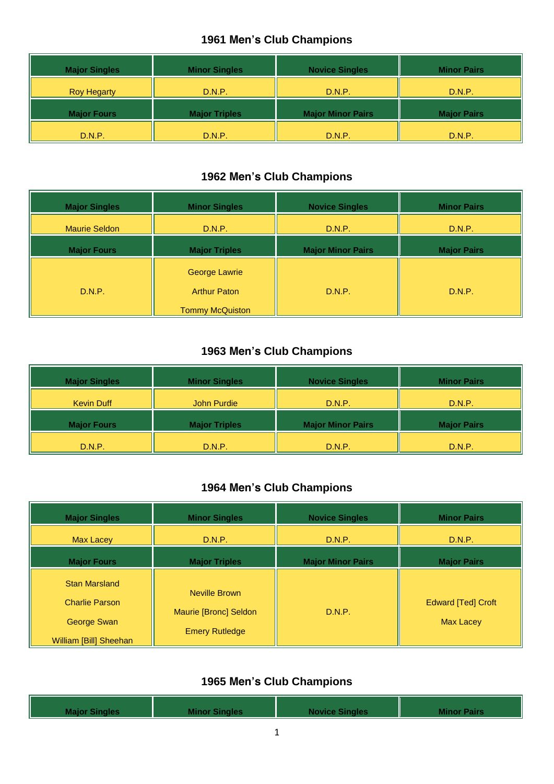| <b>Major Singles</b> | <b>Minor Singles</b> | <b>Novice Singles</b>    | <b>Minor Pairs</b> |
|----------------------|----------------------|--------------------------|--------------------|
| <b>Roy Hegarty</b>   | D.N.P.               | D.N.P.                   | D.N.P.             |
| <b>Major Fours</b>   | <b>Major Triples</b> | <b>Major Minor Pairs</b> | <b>Major Pairs</b> |
| D.N.P.               | D.N.P.               | D.N.P.                   | D.N.P.             |

#### **1962 Men's Club Champions**

| <b>Major Singles</b> | <b>Minor Singles</b>                                                  | <b>Novice Singles</b>    | <b>Minor Pairs</b> |
|----------------------|-----------------------------------------------------------------------|--------------------------|--------------------|
| <b>Maurie Seldon</b> | D.N.P.                                                                | D.N.P.                   | D.N.P.             |
| <b>Major Fours</b>   | <b>Major Triples</b>                                                  | <b>Major Minor Pairs</b> | <b>Major Pairs</b> |
| D.N.P.               | <b>George Lawrie</b><br><b>Arthur Paton</b><br><b>Tommy McQuiston</b> | D.N.P.                   | D.N.P.             |

#### **1963 Men's Club Champions**

| <b>Major Singles</b> | <b>Minor Singles</b> | <b>Novice Singles</b>    | <b>Minor Pairs</b> |
|----------------------|----------------------|--------------------------|--------------------|
| <b>Kevin Duff</b>    | <b>John Purdie</b>   | D.N.P.                   | D.N.P.             |
| <b>Major Fours</b>   | <b>Major Triples</b> | <b>Major Minor Pairs</b> | <b>Major Pairs</b> |
| D.N.P.               | D.N.P.               | D.N.P.                   | D.N.P.             |

### **1964 Men's Club Champions**

| <b>Major Singles</b>                                                                   | <b>Minor Singles</b>                                            | <b>Novice Singles</b>    | <b>Minor Pairs</b>                            |
|----------------------------------------------------------------------------------------|-----------------------------------------------------------------|--------------------------|-----------------------------------------------|
| <b>Max Lacey</b>                                                                       | D.N.P.                                                          | D.N.P.                   | D.N.P.                                        |
| <b>Major Fours</b>                                                                     | <b>Major Triples</b>                                            | <b>Major Minor Pairs</b> | <b>Major Pairs</b>                            |
| <b>Stan Marsland</b><br><b>Charlie Parson</b><br>George Swan<br>William [Bill] Sheehan | Neville Brown<br>Maurie [Bronc] Seldon<br><b>Emery Rutledge</b> | D.N.P.                   | <b>Edward [Ted] Croft</b><br><b>Max Lacey</b> |

|  | <b>Major Singles</b> | <b>Minor Singles</b> | <b>Novice Singles</b> | <b>Minor Pairs</b> |
|--|----------------------|----------------------|-----------------------|--------------------|
|--|----------------------|----------------------|-----------------------|--------------------|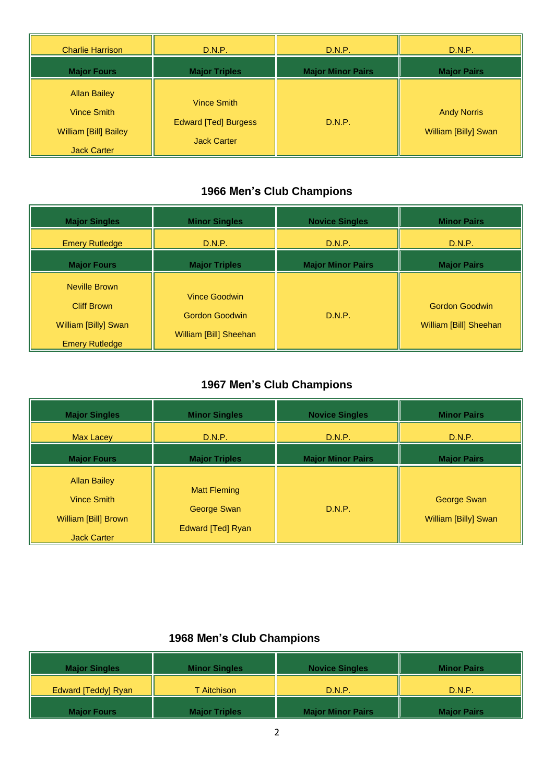| <b>Charlie Harrison</b>                                                                  | D.N.P.                                                           | D.N.P.                   | D.N.P.                                     |
|------------------------------------------------------------------------------------------|------------------------------------------------------------------|--------------------------|--------------------------------------------|
| <b>Major Fours</b>                                                                       | <b>Major Triples</b>                                             | <b>Major Minor Pairs</b> | <b>Major Pairs</b>                         |
| <b>Allan Bailey</b><br>Vince Smith<br><b>William [Bill] Bailey</b><br><b>Jack Carter</b> | Vince Smith<br><b>Edward [Ted] Burgess</b><br><b>Jack Carter</b> | D.N.P.                   | <b>Andy Norris</b><br>William [Billy] Swan |

| <b>Major Singles</b>                                                                 | <b>Minor Singles</b>                                                    | <b>Novice Singles</b>    | <b>Minor Pairs</b>                              |
|--------------------------------------------------------------------------------------|-------------------------------------------------------------------------|--------------------------|-------------------------------------------------|
| <b>Emery Rutledge</b>                                                                | D.N.P.                                                                  | D.N.P.                   | D.N.P.                                          |
| <b>Major Fours</b>                                                                   | <b>Major Triples</b>                                                    | <b>Major Minor Pairs</b> | <b>Major Pairs</b>                              |
| Neville Brown<br><b>Cliff Brown</b><br>William [Billy] Swan<br><b>Emery Rutledge</b> | <b>Vince Goodwin</b><br><b>Gordon Goodwin</b><br>William [Bill] Sheehan | D.N.P.                   | <b>Gordon Goodwin</b><br>William [Bill] Sheehan |

# **1967 Men's Club Champions**

| <b>Major Singles</b>                                                             | <b>Minor Singles</b>                                           | <b>Novice Singles</b>    | <b>Minor Pairs</b>                  |
|----------------------------------------------------------------------------------|----------------------------------------------------------------|--------------------------|-------------------------------------|
| Max Lacey                                                                        | D.N.P.                                                         | D.N.P.                   | D.N.P.                              |
| <b>Major Fours</b>                                                               | <b>Major Triples</b>                                           | <b>Major Minor Pairs</b> | <b>Major Pairs</b>                  |
| <b>Allan Bailey</b><br>Vince Smith<br>William [Bill] Brown<br><b>Jack Carter</b> | <b>Matt Fleming</b><br>George Swan<br><b>Edward [Ted] Ryan</b> | D.N.P.                   | George Swan<br>William [Billy] Swan |

| <b>Major Singles</b> | <b>Minor Singles</b> | <b>Novice Singles</b>    | <b>Minor Pairs</b> |
|----------------------|----------------------|--------------------------|--------------------|
| Edward [Teddy] Ryan  | <b>T</b> Aitchison   | D.N.P.                   | D.N.P.             |
| <b>Major Fours</b>   | <b>Major Triples</b> | <b>Major Minor Pairs</b> | <b>Major Pairs</b> |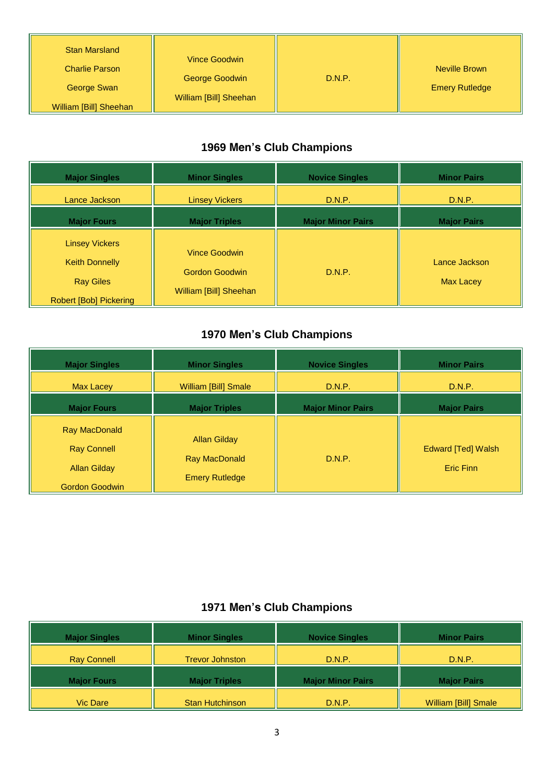| <b>Stan Marsland</b><br><b>Charlie Parson</b><br>George Swan | Vince Goodwin<br>George Goodwin<br>William [Bill] Sheehan | D.N.P. | Neville Brown<br><b>Emery Rutledge</b> |
|--------------------------------------------------------------|-----------------------------------------------------------|--------|----------------------------------------|
| William [Bill] Sheehan                                       |                                                           |        |                                        |

| <b>Major Singles</b>                                                                                | <b>Minor Singles</b>                                                    | <b>Novice Singles</b>    | <b>Minor Pairs</b>                |
|-----------------------------------------------------------------------------------------------------|-------------------------------------------------------------------------|--------------------------|-----------------------------------|
| Lance Jackson                                                                                       | <b>Linsey Vickers</b>                                                   | D.N.P.                   | D.N.P.                            |
| <b>Major Fours</b>                                                                                  | <b>Major Triples</b>                                                    | <b>Major Minor Pairs</b> | <b>Major Pairs</b>                |
| <b>Linsey Vickers</b><br><b>Keith Donnelly</b><br><b>Ray Giles</b><br><b>Robert [Bob] Pickering</b> | <b>Vince Goodwin</b><br><b>Gordon Goodwin</b><br>William [Bill] Sheehan | D.N.P.                   | Lance Jackson<br><b>Max Lacey</b> |

## **1970 Men's Club Champions**

| <b>Major Singles</b>                                                                       | <b>Minor Singles</b>                                                 | <b>Novice Singles</b>    | <b>Minor Pairs</b>              |
|--------------------------------------------------------------------------------------------|----------------------------------------------------------------------|--------------------------|---------------------------------|
| <b>Max Lacey</b>                                                                           | <b>William [Bill] Smale</b>                                          | D.N.P.                   | D.N.P.                          |
| <b>Major Fours</b>                                                                         | <b>Major Triples</b>                                                 | <b>Major Minor Pairs</b> | <b>Major Pairs</b>              |
| <b>Ray MacDonald</b><br><b>Ray Connell</b><br><b>Allan Gilday</b><br><b>Gordon Goodwin</b> | <b>Allan Gilday</b><br><b>Ray MacDonald</b><br><b>Emery Rutledge</b> | D.N.P.                   | Edward [Ted] Walsh<br>Eric Finn |

| <b>Major Singles</b> | <b>Minor Singles</b>   | <b>Novice Singles</b>    | <b>Minor Pairs</b>   |
|----------------------|------------------------|--------------------------|----------------------|
| <b>Ray Connell</b>   | <b>Trevor Johnston</b> | D.N.P.                   | D.N.P.               |
| <b>Major Fours</b>   | <b>Major Triples</b>   | <b>Major Minor Pairs</b> | <b>Major Pairs</b>   |
| <b>Vic Dare</b>      | <b>Stan Hutchinson</b> | D.N.P.                   | William [Bill] Smale |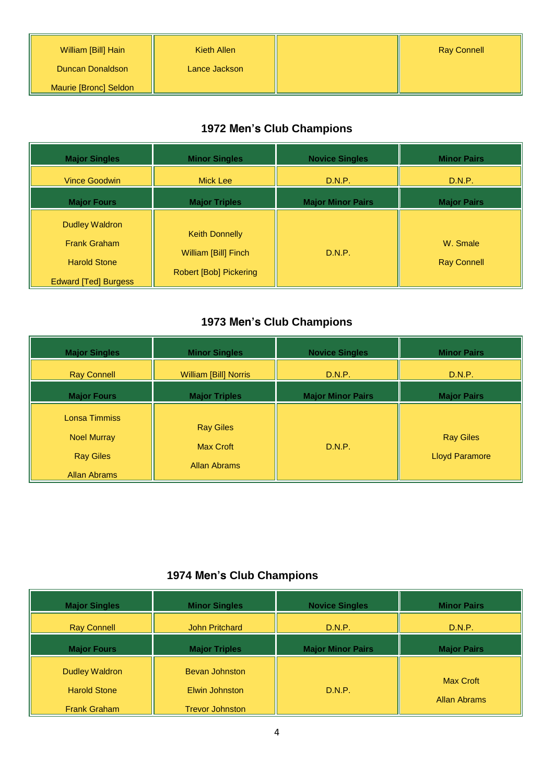| William [Bill] Hain   | Kieth Allen   | <b>Ray Connell</b> |
|-----------------------|---------------|--------------------|
| Duncan Donaldson      | Lance Jackson |                    |
| Maurie [Bronc] Seldon |               |                    |

| <b>Major Singles</b>                                                                               | <b>Minor Singles</b>                                                           | <b>Novice Singles</b>    | <b>Minor Pairs</b>             |
|----------------------------------------------------------------------------------------------------|--------------------------------------------------------------------------------|--------------------------|--------------------------------|
| <b>Vince Goodwin</b>                                                                               | Mick Lee                                                                       | D.N.P.                   | D.N.P.                         |
| <b>Major Fours</b>                                                                                 | <b>Major Triples</b>                                                           | <b>Major Minor Pairs</b> | <b>Major Pairs</b>             |
| <b>Dudley Waldron</b><br><b>Frank Graham</b><br><b>Harold Stone</b><br><b>Edward [Ted] Burgess</b> | <b>Keith Donnelly</b><br>William [Bill] Finch<br><b>Robert [Bob] Pickering</b> | D.N.P.                   | W. Smale<br><b>Ray Connell</b> |

## **1973 Men's Club Champions**

| <b>Major Singles</b>                                    | <b>Minor Singles</b>                                        | <b>Novice Singles</b>    | <b>Minor Pairs</b>                        |
|---------------------------------------------------------|-------------------------------------------------------------|--------------------------|-------------------------------------------|
| <b>Ray Connell</b>                                      | William [Bill] Norris                                       | D.N.P.                   | D.N.P.                                    |
| <b>Major Fours</b>                                      | <b>Major Triples</b>                                        | <b>Major Minor Pairs</b> | <b>Major Pairs</b>                        |
| Lonsa Timmiss<br><b>Noel Murray</b><br><b>Ray Giles</b> | <b>Ray Giles</b><br><b>Max Croft</b><br><b>Allan Abrams</b> | D.N.P.                   | <b>Ray Giles</b><br><b>Lloyd Paramore</b> |
| <b>Allan Abrams</b>                                     |                                                             |                          |                                           |

| <b>Major Singles</b>                                                | <b>Minor Singles</b>                                              | <b>Novice Singles</b>    | <b>Minor Pairs</b>                      |
|---------------------------------------------------------------------|-------------------------------------------------------------------|--------------------------|-----------------------------------------|
| <b>Ray Connell</b>                                                  | <b>John Pritchard</b>                                             | D.N.P.                   | D.N.P.                                  |
| <b>Major Fours</b>                                                  | <b>Major Triples</b>                                              | <b>Major Minor Pairs</b> | <b>Major Pairs</b>                      |
| <b>Dudley Waldron</b><br><b>Harold Stone</b><br><b>Frank Graham</b> | <b>Bevan Johnston</b><br>Elwin Johnston<br><b>Trevor Johnston</b> | D.N.P.                   | <b>Max Croft</b><br><b>Allan Abrams</b> |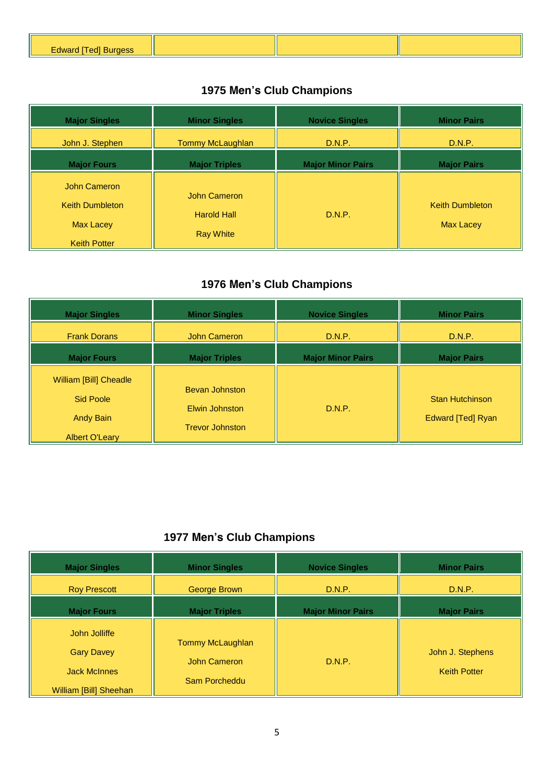| Fdward<br>$\sim$<br><u>uaru</u> |  |  |
|---------------------------------|--|--|
|                                 |  |  |

| <b>Major Singles</b>                                       | <b>Minor Singles</b>                                   | <b>Novice Singles</b>    | <b>Minor Pairs</b>                         |
|------------------------------------------------------------|--------------------------------------------------------|--------------------------|--------------------------------------------|
| John J. Stephen                                            | Tommy McLaughlan                                       | D.N.P.                   | D.N.P.                                     |
| <b>Major Fours</b>                                         | <b>Major Triples</b>                                   | <b>Major Minor Pairs</b> | <b>Major Pairs</b>                         |
| John Cameron<br><b>Keith Dumbleton</b><br><b>Max Lacey</b> | John Cameron<br><b>Harold Hall</b><br><b>Ray White</b> | D.N.P.                   | <b>Keith Dumbleton</b><br><b>Max Lacey</b> |
| <b>Keith Potter</b>                                        |                                                        |                          |                                            |

## **1976 Men's Club Champions**

| <b>Major Singles</b>                                                                           | <b>Minor Singles</b>                                              | <b>Novice Singles</b>    | <b>Minor Pairs</b>                          |
|------------------------------------------------------------------------------------------------|-------------------------------------------------------------------|--------------------------|---------------------------------------------|
| <b>Frank Dorans</b>                                                                            | John Cameron                                                      | D.N.P.                   | D.N.P.                                      |
| <b>Major Fours</b>                                                                             | <b>Major Triples</b>                                              | <b>Major Minor Pairs</b> | <b>Major Pairs</b>                          |
| <b>William [Bill] Cheadle</b><br><b>Sid Poole</b><br><b>Andy Bain</b><br><b>Albert O'Leary</b> | <b>Bevan Johnston</b><br>Elwin Johnston<br><b>Trevor Johnston</b> | D.N.P.                   | <b>Stan Hutchinson</b><br>Edward [Ted] Ryan |

| <b>Major Singles</b>                                                                | <b>Minor Singles</b>                              | <b>Novice Singles</b>    | <b>Minor Pairs</b>                      |
|-------------------------------------------------------------------------------------|---------------------------------------------------|--------------------------|-----------------------------------------|
| <b>Roy Prescott</b>                                                                 | George Brown                                      | D.N.P.                   | D.N.P.                                  |
| <b>Major Fours</b>                                                                  | <b>Major Triples</b>                              | <b>Major Minor Pairs</b> | <b>Major Pairs</b>                      |
| John Jolliffe<br><b>Gary Davey</b><br><b>Jack McInnes</b><br>William [Bill] Sheehan | Tommy McLaughlan<br>John Cameron<br>Sam Porcheddu | D.N.P.                   | John J. Stephens<br><b>Keith Potter</b> |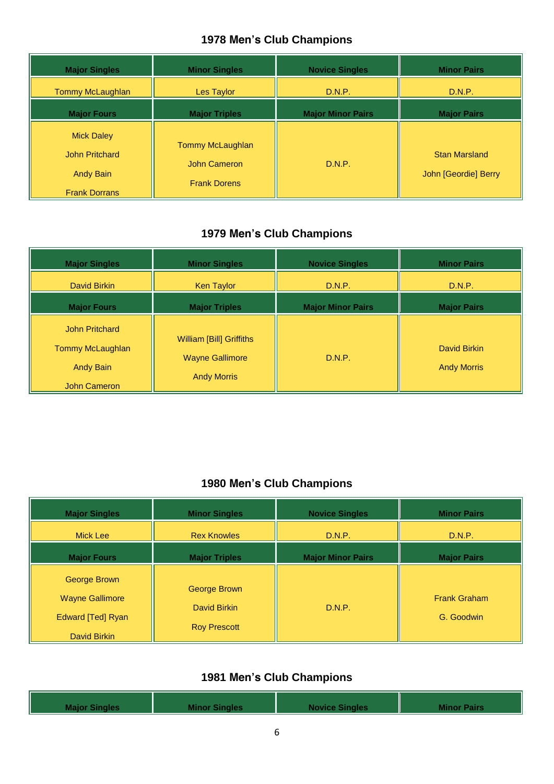| <b>Major Singles</b>                                                                   | <b>Minor Singles</b>                                    | <b>Novice Singles</b>    | <b>Minor Pairs</b>                           |
|----------------------------------------------------------------------------------------|---------------------------------------------------------|--------------------------|----------------------------------------------|
| Tommy McLaughlan                                                                       | Les Taylor                                              | D.N.P.                   | D.N.P.                                       |
| <b>Major Fours</b>                                                                     | <b>Major Triples</b>                                    | <b>Major Minor Pairs</b> | <b>Major Pairs</b>                           |
| <b>Mick Daley</b><br><b>John Pritchard</b><br><b>Andy Bain</b><br><b>Frank Dorrans</b> | Tommy McLaughlan<br>John Cameron<br><b>Frank Dorens</b> | D.N.P.                   | <b>Stan Marsland</b><br>John [Geordie] Berry |

## **1979 Men's Club Champions**

| <b>Major Singles</b>                                                          | <b>Minor Singles</b>                                                            | <b>Novice Singles</b>    | <b>Minor Pairs</b>                 |
|-------------------------------------------------------------------------------|---------------------------------------------------------------------------------|--------------------------|------------------------------------|
| David Birkin                                                                  | Ken Taylor                                                                      | D.N.P.                   | D.N.P.                             |
| <b>Major Fours</b>                                                            | <b>Major Triples</b>                                                            | <b>Major Minor Pairs</b> | <b>Major Pairs</b>                 |
| <b>John Pritchard</b><br>Tommy McLaughlan<br><b>Andy Bain</b><br>John Cameron | <b>William [Bill] Griffiths</b><br><b>Wayne Gallimore</b><br><b>Andy Morris</b> | D.N.P.                   | David Birkin<br><b>Andy Morris</b> |

#### **1980 Men's Club Champions**

| <b>Major Singles</b>                                                               | <b>Minor Singles</b>                                | <b>Novice Singles</b>    | <b>Minor Pairs</b>                |
|------------------------------------------------------------------------------------|-----------------------------------------------------|--------------------------|-----------------------------------|
| <b>Mick Lee</b>                                                                    | <b>Rex Knowles</b>                                  | D.N.P.                   | D.N.P.                            |
| <b>Major Fours</b>                                                                 | <b>Major Triples</b>                                | <b>Major Minor Pairs</b> | <b>Major Pairs</b>                |
| George Brown<br><b>Wayne Gallimore</b><br><b>Edward [Ted] Ryan</b><br>David Birkin | George Brown<br>David Birkin<br><b>Roy Prescott</b> | D.N.P.                   | <b>Frank Graham</b><br>G. Goodwin |

| <b>Novice Sing</b><br><b>Example Pairs</b><br><b>Minor Sin</b> | Major f |  |  |  |
|----------------------------------------------------------------|---------|--|--|--|
|----------------------------------------------------------------|---------|--|--|--|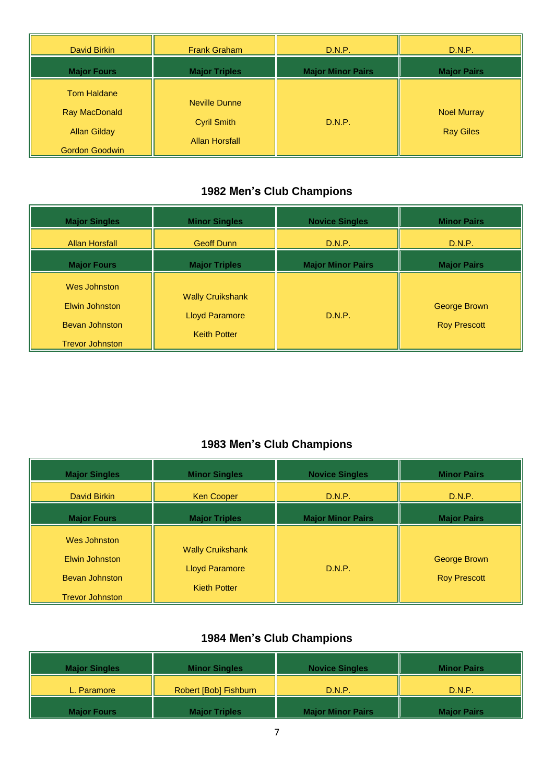| David Birkin                                                                        | <b>Frank Graham</b>                                                 | D.N.P.                   | D.N.P.                                 |
|-------------------------------------------------------------------------------------|---------------------------------------------------------------------|--------------------------|----------------------------------------|
| <b>Major Fours</b>                                                                  | <b>Major Triples</b>                                                | <b>Major Minor Pairs</b> | <b>Major Pairs</b>                     |
| <b>Tom Haldane</b><br>Ray MacDonald<br><b>Allan Gilday</b><br><b>Gordon Goodwin</b> | <b>Neville Dunne</b><br><b>Cyril Smith</b><br><b>Allan Horsfall</b> | D.N.P.                   | <b>Noel Murray</b><br><b>Ray Giles</b> |

| <b>Major Singles</b>                                                              | <b>Minor Singles</b>                                                    | <b>Novice Singles</b>    | <b>Minor Pairs</b>                  |
|-----------------------------------------------------------------------------------|-------------------------------------------------------------------------|--------------------------|-------------------------------------|
| <b>Allan Horsfall</b>                                                             | <b>Geoff Dunn</b>                                                       | D.N.P.                   | D.N.P.                              |
| <b>Major Fours</b>                                                                | <b>Major Triples</b>                                                    | <b>Major Minor Pairs</b> | <b>Major Pairs</b>                  |
| Wes Johnston<br>Elwin Johnston<br><b>Bevan Johnston</b><br><b>Trevor Johnston</b> | <b>Wally Cruikshank</b><br><b>Lloyd Paramore</b><br><b>Keith Potter</b> | D.N.P.                   | George Brown<br><b>Roy Prescott</b> |

### **1983 Men's Club Champions**

| <b>Major Singles</b>                                                       | <b>Minor Singles</b>                                                    | <b>Novice Singles</b>    | <b>Minor Pairs</b>                  |
|----------------------------------------------------------------------------|-------------------------------------------------------------------------|--------------------------|-------------------------------------|
| David Birkin                                                               | Ken Cooper                                                              | D.N.P.                   | D.N.P.                              |
| <b>Major Fours</b>                                                         | <b>Major Triples</b>                                                    | <b>Major Minor Pairs</b> | <b>Major Pairs</b>                  |
| Wes Johnston<br>Elwin Johnston<br>Bevan Johnston<br><b>Trevor Johnston</b> | <b>Wally Cruikshank</b><br><b>Lloyd Paramore</b><br><b>Kieth Potter</b> | D.N.P.                   | George Brown<br><b>Roy Prescott</b> |

| <b>Major Singles</b> | <b>Minor Singles</b>  | <b>Novice Singles</b>    | <b>Minor Pairs</b> |
|----------------------|-----------------------|--------------------------|--------------------|
| L. Paramore          | Robert [Bob] Fishburn | D.N.P.                   | D.N.P.             |
| Major Fours          | <b>Major Triples</b>  | <b>Major Minor Pairs</b> | <b>Major Pairs</b> |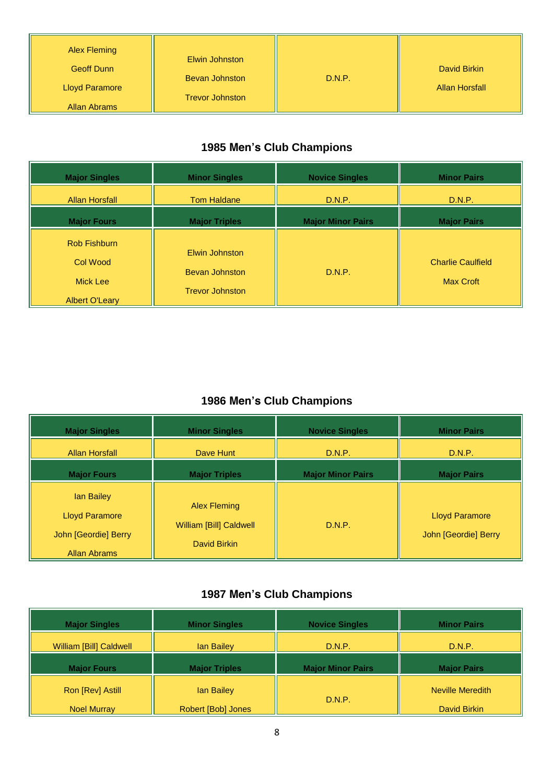| <b>Alex Fleming</b><br><b>Geoff Dunn</b><br><b>Lloyd Paramore</b><br>Allan Abrams | Elwin Johnston<br><b>Bevan Johnston</b><br><b>Trevor Johnston</b> | D.N.P. | David Birkin<br><b>Allan Horsfall</b> |
|-----------------------------------------------------------------------------------|-------------------------------------------------------------------|--------|---------------------------------------|
|-----------------------------------------------------------------------------------|-------------------------------------------------------------------|--------|---------------------------------------|

| <b>Major Singles</b>                                                        | <b>Minor Singles</b>                                              | <b>Novice Singles</b>    | <b>Minor Pairs</b>                           |
|-----------------------------------------------------------------------------|-------------------------------------------------------------------|--------------------------|----------------------------------------------|
| <b>Allan Horsfall</b>                                                       | <b>Tom Haldane</b>                                                | D.N.P.                   | D.N.P.                                       |
| <b>Major Fours</b>                                                          | <b>Major Triples</b>                                              | <b>Major Minor Pairs</b> | <b>Major Pairs</b>                           |
| <b>Rob Fishburn</b><br><b>Col Wood</b><br>Mick Lee<br><b>Albert O'Leary</b> | Elwin Johnston<br><b>Bevan Johnston</b><br><b>Trevor Johnston</b> | D.N.P.                   | <b>Charlie Caulfield</b><br><b>Max Croft</b> |

### **1986 Men's Club Champions**

| <b>Major Singles</b>                                                               | <b>Minor Singles</b>                                    | <b>Novice Singles</b>    | <b>Minor Pairs</b>                            |
|------------------------------------------------------------------------------------|---------------------------------------------------------|--------------------------|-----------------------------------------------|
| <b>Allan Horsfall</b>                                                              | Dave Hunt                                               | D.N.P.                   | D.N.P.                                        |
| <b>Major Fours</b>                                                                 | <b>Major Triples</b>                                    | <b>Major Minor Pairs</b> | <b>Major Pairs</b>                            |
| lan Bailey<br><b>Lloyd Paramore</b><br>John [Geordie] Berry<br><b>Allan Abrams</b> | Alex Fleming<br>William [Bill] Caldwell<br>David Birkin | D.N.P.                   | <b>Lloyd Paramore</b><br>John [Geordie] Berry |

| <b>Major Singles</b>           | <b>Minor Singles</b> | <b>Novice Singles</b>    | <b>Minor Pairs</b> |
|--------------------------------|----------------------|--------------------------|--------------------|
| <b>William [Bill] Caldwell</b> | <b>lan Bailey</b>    | D.N.P.                   | D.N.P.             |
| <b>Major Fours</b>             | <b>Major Triples</b> | <b>Major Minor Pairs</b> | <b>Major Pairs</b> |
|                                |                      |                          |                    |
| Ron [Rev] Astill               | lan Bailey           | D.N.P.                   | Neville Meredith   |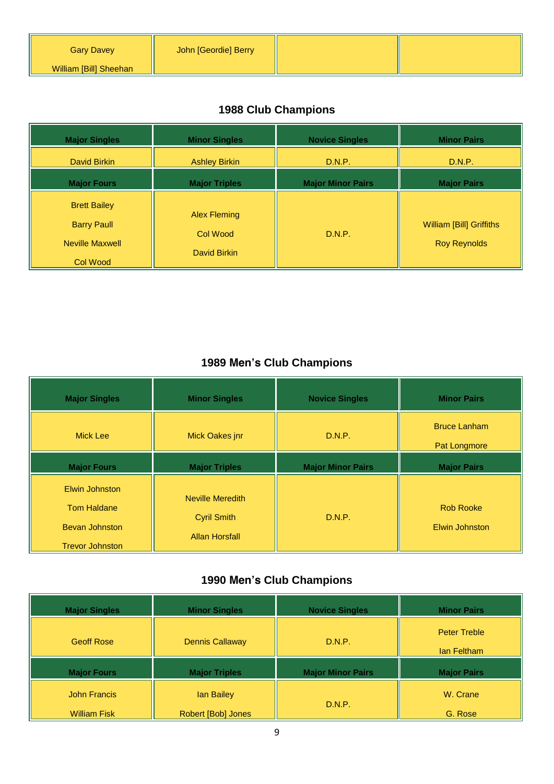| <b>Gary Davey</b>      | John [Geordie] Berry |  |
|------------------------|----------------------|--|
| William [Bill] Sheehan |                      |  |

# **1988 Club Champions**

| <b>Major Singles</b>                                                | <b>Minor Singles</b>                            | <b>Novice Singles</b>    | <b>Minor Pairs</b>                                     |
|---------------------------------------------------------------------|-------------------------------------------------|--------------------------|--------------------------------------------------------|
| David Birkin                                                        | <b>Ashley Birkin</b>                            | D.N.P.                   | D.N.P.                                                 |
| <b>Major Fours</b>                                                  | <b>Major Triples</b>                            | <b>Major Minor Pairs</b> | <b>Major Pairs</b>                                     |
| <b>Brett Bailey</b><br><b>Barry Paull</b><br><b>Neville Maxwell</b> | <b>Alex Fleming</b><br>Col Wood<br>David Birkin | D.N.P.                   | <b>William [Bill] Griffiths</b><br><b>Roy Reynolds</b> |
| <b>Col Wood</b>                                                     |                                                 |                          |                                                        |

### **1989 Men's Club Champions**

| <b>Major Singles</b>                                                                    | <b>Minor Singles</b>                                                   | <b>Novice Singles</b>    | <b>Minor Pairs</b>                        |
|-----------------------------------------------------------------------------------------|------------------------------------------------------------------------|--------------------------|-------------------------------------------|
| Mick Lee                                                                                | Mick Oakes jnr                                                         | D.N.P.                   | <b>Bruce Lanham</b><br>Pat Longmore       |
| <b>Major Fours</b>                                                                      | <b>Major Triples</b>                                                   | <b>Major Minor Pairs</b> | <b>Major Pairs</b>                        |
| Elwin Johnston<br><b>Tom Haldane</b><br><b>Bevan Johnston</b><br><b>Trevor Johnston</b> | <b>Neville Meredith</b><br><b>Cyril Smith</b><br><b>Allan Horsfall</b> | D.N.P.                   | <b>Rob Rooke</b><br><b>Elwin Johnston</b> |

| <b>Major Singles</b> | <b>Minor Singles</b>   | <b>Novice Singles</b>    | <b>Minor Pairs</b>                 |
|----------------------|------------------------|--------------------------|------------------------------------|
| <b>Geoff Rose</b>    | <b>Dennis Callaway</b> | D.N.P.                   | <b>Peter Treble</b><br>lan Feltham |
| <b>Major Fours</b>   | <b>Major Triples</b>   | <b>Major Minor Pairs</b> | <b>Major Pairs</b>                 |
|                      |                        |                          |                                    |
| <b>John Francis</b>  | lan Bailey             | D.N.P.                   | W. Crane                           |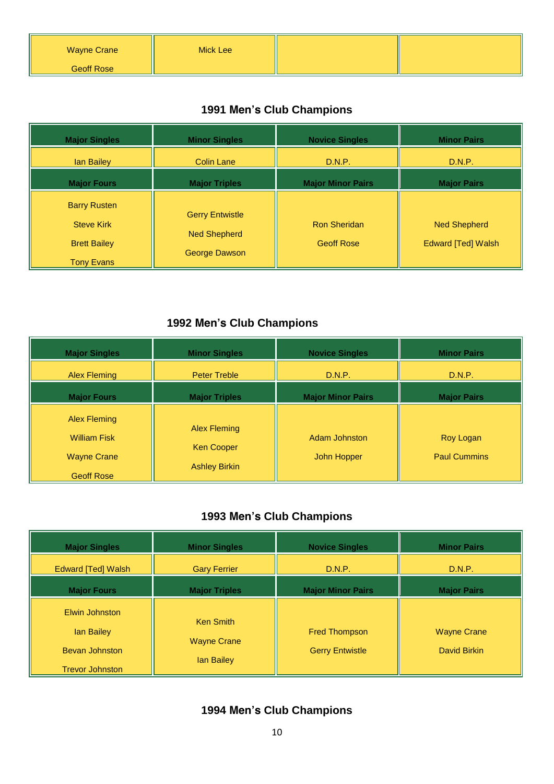| <b>Wayne Crane</b> | Mick Lee |  |
|--------------------|----------|--|
| <b>Geoff Rose</b>  |          |  |

| <b>Major Singles</b>                                                                 | <b>Minor Singles</b>                                           | <b>Novice Singles</b>                    | <b>Minor Pairs</b>                               |
|--------------------------------------------------------------------------------------|----------------------------------------------------------------|------------------------------------------|--------------------------------------------------|
| lan Bailey                                                                           | <b>Colin Lane</b>                                              | D.N.P.                                   | D.N.P.                                           |
| <b>Major Fours</b>                                                                   | <b>Major Triples</b>                                           | <b>Major Minor Pairs</b>                 | <b>Major Pairs</b>                               |
| <b>Barry Rusten</b><br><b>Steve Kirk</b><br><b>Brett Bailey</b><br><b>Tony Evans</b> | <b>Gerry Entwistle</b><br><b>Ned Shepherd</b><br>George Dawson | <b>Ron Sheridan</b><br><b>Geoff Rose</b> | <b>Ned Shepherd</b><br><b>Edward [Ted] Walsh</b> |

### **1992 Men's Club Champions**

| <b>Major Singles</b>                                                                  | <b>Minor Singles</b>                                             | <b>Novice Singles</b>        | <b>Minor Pairs</b>               |
|---------------------------------------------------------------------------------------|------------------------------------------------------------------|------------------------------|----------------------------------|
| <b>Alex Fleming</b>                                                                   | <b>Peter Treble</b>                                              | D.N.P.                       | D.N.P.                           |
| <b>Major Fours</b>                                                                    | <b>Major Triples</b>                                             | <b>Major Minor Pairs</b>     | <b>Major Pairs</b>               |
| <b>Alex Fleming</b><br><b>William Fisk</b><br><b>Wayne Crane</b><br><b>Geoff Rose</b> | <b>Alex Fleming</b><br><b>Ken Cooper</b><br><b>Ashley Birkin</b> | Adam Johnston<br>John Hopper | Roy Logan<br><b>Paul Cummins</b> |

### **1993 Men's Club Champions**

| <b>Major Singles</b>                            | <b>Minor Singles</b>                   | <b>Novice Singles</b>    | <b>Minor Pairs</b> |
|-------------------------------------------------|----------------------------------------|--------------------------|--------------------|
| Edward [Ted] Walsh                              | <b>Gary Ferrier</b>                    | D.N.P.                   | D.N.P.             |
| <b>Major Fours</b>                              | <b>Major Triples</b>                   | <b>Major Minor Pairs</b> | <b>Major Pairs</b> |
| Elwin Johnston<br>lan Bailey                    | <b>Ken Smith</b><br><b>Wayne Crane</b> | <b>Fred Thompson</b>     | <b>Wayne Crane</b> |
| <b>Bevan Johnston</b><br><b>Trevor Johnston</b> | lan Bailey                             | <b>Gerry Entwistle</b>   | David Birkin       |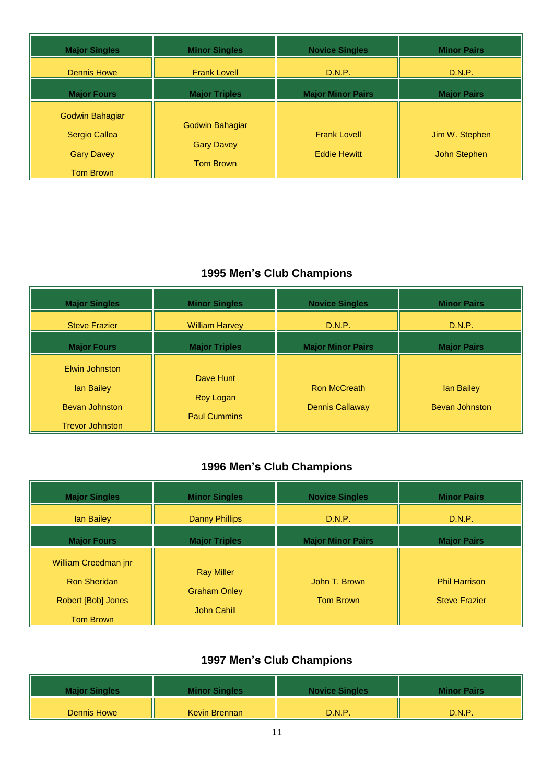| <b>Major Singles</b>                                  | <b>Minor Singles</b>                                     | <b>Novice Singles</b>                      | <b>Minor Pairs</b>             |
|-------------------------------------------------------|----------------------------------------------------------|--------------------------------------------|--------------------------------|
| <b>Dennis Howe</b>                                    | <b>Frank Lovell</b>                                      | D.N.P.                                     | D.N.P.                         |
| <b>Major Fours</b>                                    | <b>Major Triples</b>                                     | <b>Major Minor Pairs</b>                   | <b>Major Pairs</b>             |
| Godwin Bahagiar<br>Sergio Callea<br><b>Gary Davey</b> | Godwin Bahagiar<br><b>Gary Davey</b><br><b>Tom Brown</b> | <b>Frank Lovell</b><br><b>Eddie Hewitt</b> | Jim W. Stephen<br>John Stephen |
| <b>Tom Brown</b>                                      |                                                          |                                            |                                |

| <b>Major Singles</b>                            | <b>Minor Singles</b>   | <b>Novice Singles</b>    | <b>Minor Pairs</b>    |
|-------------------------------------------------|------------------------|--------------------------|-----------------------|
| <b>Steve Frazier</b>                            | <b>William Harvey</b>  | D.N.P.                   | D.N.P.                |
| <b>Major Fours</b>                              | <b>Major Triples</b>   | <b>Major Minor Pairs</b> | <b>Major Pairs</b>    |
| Elwin Johnston<br>lan Bailey                    | Dave Hunt<br>Roy Logan | <b>Ron McCreath</b>      | lan Bailey            |
| <b>Bevan Johnston</b><br><b>Trevor Johnston</b> | <b>Paul Cummins</b>    | <b>Dennis Callaway</b>   | <b>Bevan Johnston</b> |

## **1996 Men's Club Champions**

| <b>Major Singles</b>                                              | <b>Minor Singles</b>                                    | <b>Novice Singles</b>             | <b>Minor Pairs</b>                           |
|-------------------------------------------------------------------|---------------------------------------------------------|-----------------------------------|----------------------------------------------|
| lan Bailey                                                        | <b>Danny Phillips</b>                                   | D.N.P.                            | D.N.P.                                       |
| <b>Major Fours</b>                                                | <b>Major Triples</b>                                    | <b>Major Minor Pairs</b>          | <b>Major Pairs</b>                           |
| William Creedman jnr<br><b>Ron Sheridan</b><br>Robert [Bob] Jones | <b>Ray Miller</b><br><b>Graham Onley</b><br>John Cahill | John T. Brown<br><b>Tom Brown</b> | <b>Phil Harrison</b><br><b>Steve Frazier</b> |
| <b>Tom Brown</b>                                                  |                                                         |                                   |                                              |

| <b>Major Singles</b> | <b>Minor Singles</b> | <b>Novice Singles</b> | <b>Minor Pairs</b> |
|----------------------|----------------------|-----------------------|--------------------|
| Dennis Howe          | Kevin Brennan        | D.N.P.                | D.N.P.             |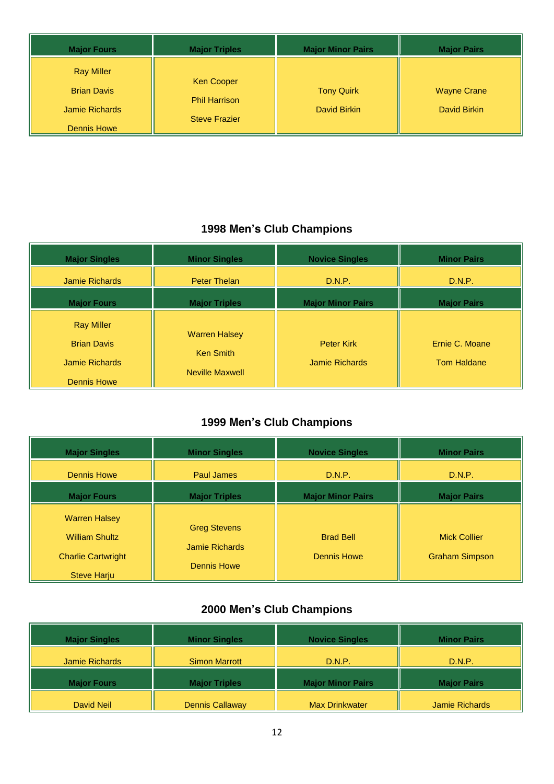| <b>Major Fours</b>                                                              | <b>Major Triples</b>                                              | <b>Major Minor Pairs</b>          | <b>Major Pairs</b>                 |
|---------------------------------------------------------------------------------|-------------------------------------------------------------------|-----------------------------------|------------------------------------|
| <b>Ray Miller</b><br><b>Brian Davis</b><br>Jamie Richards<br><b>Dennis Howe</b> | <b>Ken Cooper</b><br><b>Phil Harrison</b><br><b>Steve Frazier</b> | <b>Tony Quirk</b><br>David Birkin | <b>Wayne Crane</b><br>David Birkin |

| <b>Major Singles</b>                                      | <b>Minor Singles</b>                     | <b>Novice Singles</b>               | <b>Minor Pairs</b>                   |
|-----------------------------------------------------------|------------------------------------------|-------------------------------------|--------------------------------------|
| Jamie Richards                                            | <b>Peter Thelan</b>                      | D.N.P.                              | D.N.P.                               |
| <b>Major Fours</b>                                        | <b>Major Triples</b>                     | <b>Major Minor Pairs</b>            | <b>Major Pairs</b>                   |
| <b>Ray Miller</b><br><b>Brian Davis</b><br>Jamie Richards | <b>Warren Halsey</b><br><b>Ken Smith</b> | <b>Peter Kirk</b><br>Jamie Richards | Ernie C. Moane<br><b>Tom Haldane</b> |
| <b>Dennis Howe</b>                                        | Neville Maxwell                          |                                     |                                      |

### **1999 Men's Club Champions**

| <b>Major Singles</b>                                                                             | <b>Minor Singles</b>                                        | <b>Novice Singles</b>                  | <b>Minor Pairs</b>                           |
|--------------------------------------------------------------------------------------------------|-------------------------------------------------------------|----------------------------------------|----------------------------------------------|
| Dennis Howe                                                                                      | <b>Paul James</b>                                           | D.N.P.                                 | D.N.P.                                       |
| <b>Major Fours</b>                                                                               | <b>Major Triples</b>                                        | <b>Major Minor Pairs</b>               | <b>Major Pairs</b>                           |
| <b>Warren Halsey</b><br><b>William Shultz</b><br><b>Charlie Cartwright</b><br><b>Steve Harju</b> | <b>Greg Stevens</b><br>Jamie Richards<br><b>Dennis Howe</b> | <b>Brad Bell</b><br><b>Dennis Howe</b> | <b>Mick Collier</b><br><b>Graham Simpson</b> |

| <b>Major Singles</b>  | <b>Minor Singles</b>   | <b>Novice Singles</b>    | <b>Minor Pairs</b>    |
|-----------------------|------------------------|--------------------------|-----------------------|
| <b>Jamie Richards</b> | <b>Simon Marrott</b>   | D.N.P.                   | D.N.P.                |
| <b>Major Fours</b>    | <b>Major Triples</b>   | <b>Major Minor Pairs</b> | <b>Major Pairs</b>    |
| David Neil            | <b>Dennis Callaway</b> | <b>Max Drinkwater</b>    | <b>Jamie Richards</b> |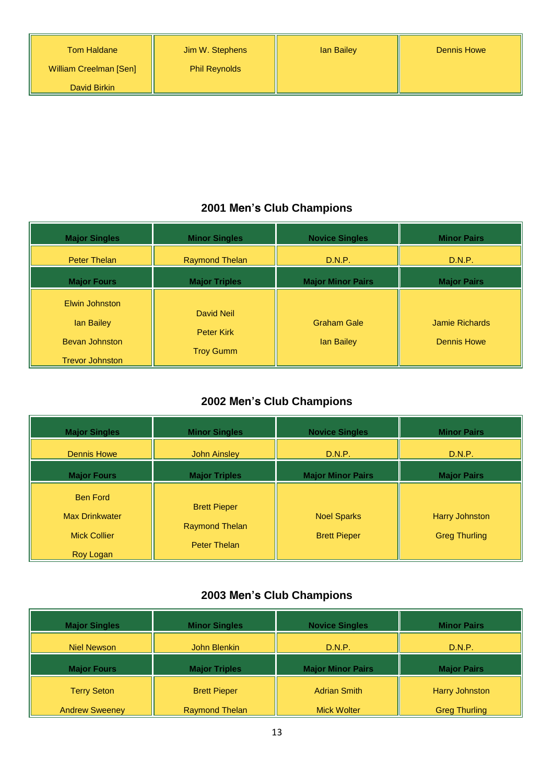William Creelman [Sen]

#### **2001 Men's Club Champions**

| <b>Major Singles</b>                                  | <b>Minor Singles</b>            | <b>Novice Singles</b>            | <b>Minor Pairs</b>                          |
|-------------------------------------------------------|---------------------------------|----------------------------------|---------------------------------------------|
| <b>Peter Thelan</b>                                   | <b>Raymond Thelan</b>           | D.N.P.                           | D.N.P.                                      |
| <b>Major Fours</b>                                    | <b>Major Triples</b>            | <b>Major Minor Pairs</b>         | <b>Major Pairs</b>                          |
| Elwin Johnston<br>lan Bailey<br><b>Bevan Johnston</b> | David Neil<br><b>Peter Kirk</b> | <b>Graham Gale</b><br>lan Bailey | <b>Jamie Richards</b><br><b>Dennis Howe</b> |
| <b>Trevor Johnston</b>                                | <b>Troy Gumm</b>                |                                  |                                             |

#### **2002 Men's Club Champions**

| <b>Major Singles</b>                                            | <b>Minor Singles</b>                                                | <b>Novice Singles</b>                     | <b>Minor Pairs</b>                     |
|-----------------------------------------------------------------|---------------------------------------------------------------------|-------------------------------------------|----------------------------------------|
| <b>Dennis Howe</b>                                              | <b>John Ainsley</b>                                                 | D.N.P.                                    | D.N.P.                                 |
| <b>Major Fours</b>                                              | <b>Major Triples</b>                                                | <b>Major Minor Pairs</b>                  | <b>Major Pairs</b>                     |
| <b>Ben Ford</b><br><b>Max Drinkwater</b><br><b>Mick Collier</b> | <b>Brett Pieper</b><br><b>Raymond Thelan</b><br><b>Peter Thelan</b> | <b>Noel Sparks</b><br><b>Brett Pieper</b> | Harry Johnston<br><b>Greg Thurling</b> |
| Roy Logan                                                       |                                                                     |                                           |                                        |

| <b>Major Singles</b> | <b>Minor Singles</b> | <b>Novice Singles</b>    | <b>Minor Pairs</b> |
|----------------------|----------------------|--------------------------|--------------------|
| Niel Newson          | John Blenkin         | D.N.P.                   | D.N.P.             |
| <b>Major Fours</b>   | <b>Major Triples</b> | <b>Major Minor Pairs</b> | <b>Major Pairs</b> |
|                      |                      |                          |                    |
| <b>Terry Seton</b>   | <b>Brett Pieper</b>  | <b>Adrian Smith</b>      | Harry Johnston     |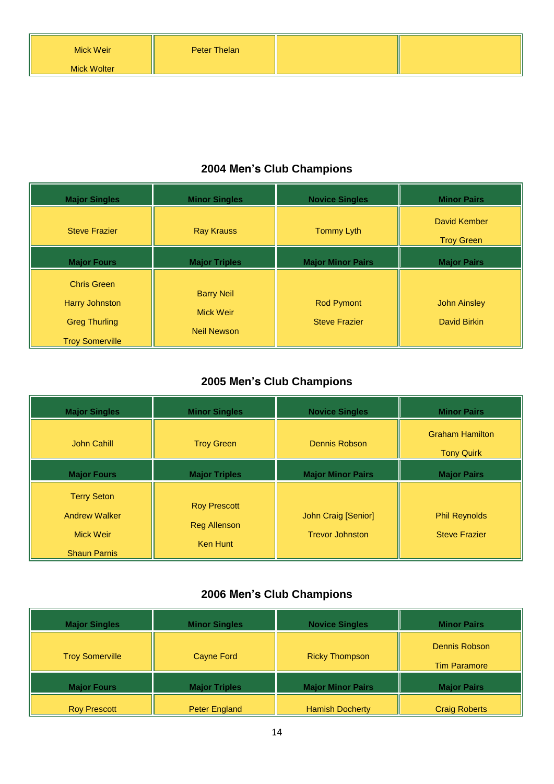| <b>Major Singles</b>                                                                          | <b>Minor Singles</b>                                        | <b>Novice Singles</b>                     | <b>Minor Pairs</b>                         |
|-----------------------------------------------------------------------------------------------|-------------------------------------------------------------|-------------------------------------------|--------------------------------------------|
| <b>Steve Frazier</b>                                                                          | <b>Ray Krauss</b>                                           | <b>Tommy Lyth</b>                         | David Kember<br><b>Troy Green</b>          |
| <b>Major Fours</b>                                                                            | <b>Major Triples</b>                                        | <b>Major Minor Pairs</b>                  | <b>Major Pairs</b>                         |
| <b>Chris Green</b><br><b>Harry Johnston</b><br><b>Greg Thurling</b><br><b>Troy Somerville</b> | <b>Barry Neil</b><br><b>Mick Weir</b><br><b>Neil Newson</b> | <b>Rod Pymont</b><br><b>Steve Frazier</b> | <b>John Ainsley</b><br><b>David Birkin</b> |

### **2005 Men's Club Champions**

| <b>Major Singles</b>                                                                  | <b>Minor Singles</b>                                   | <b>Novice Singles</b>                         | <b>Minor Pairs</b>                           |
|---------------------------------------------------------------------------------------|--------------------------------------------------------|-----------------------------------------------|----------------------------------------------|
| <b>John Cahill</b>                                                                    | <b>Troy Green</b>                                      | Dennis Robson                                 | <b>Graham Hamilton</b><br><b>Tony Quirk</b>  |
| <b>Major Fours</b>                                                                    | <b>Major Triples</b>                                   | <b>Major Minor Pairs</b>                      | <b>Major Pairs</b>                           |
| <b>Terry Seton</b><br><b>Andrew Walker</b><br><b>Mick Weir</b><br><b>Shaun Parnis</b> | <b>Roy Prescott</b><br><b>Reg Allenson</b><br>Ken Hunt | John Craig [Senior]<br><b>Trevor Johnston</b> | <b>Phil Reynolds</b><br><b>Steve Frazier</b> |

| <b>Major Singles</b>   | <b>Minor Singles</b> | <b>Novice Singles</b>    | <b>Minor Pairs</b>                   |
|------------------------|----------------------|--------------------------|--------------------------------------|
| <b>Troy Somerville</b> | Cayne Ford           | <b>Ricky Thompson</b>    | Dennis Robson<br><b>Tim Paramore</b> |
| <b>Major Fours</b>     | <b>Major Triples</b> | <b>Major Minor Pairs</b> | <b>Major Pairs</b>                   |
| <b>Roy Prescott</b>    | <b>Peter England</b> | <b>Hamish Docherty</b>   | <b>Craig Roberts</b>                 |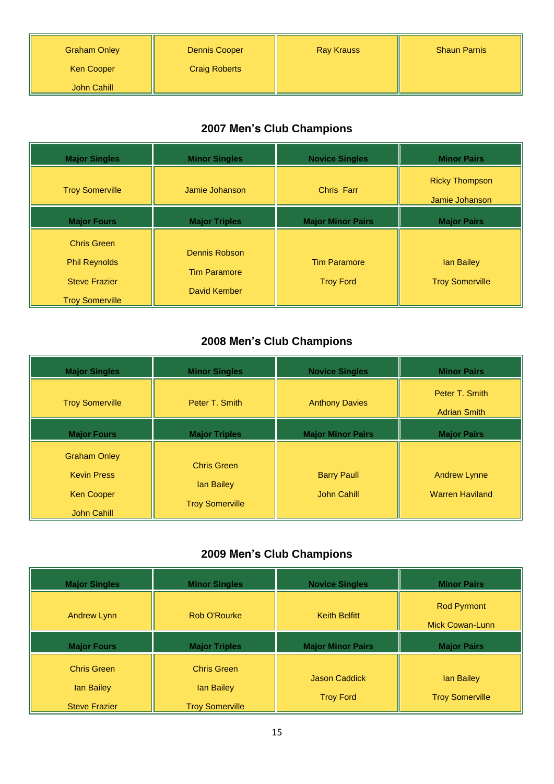| <b>Graham Onley</b> | <b>Dennis Cooper</b> | <b>Ray Krauss</b> | <b>Shaun Parnis</b> |
|---------------------|----------------------|-------------------|---------------------|
| <b>Ken Cooper</b>   | <b>Craig Roberts</b> |                   |                     |
| John Cahill         |                      |                   |                     |

| <b>Major Singles</b>                                                                         | <b>Minor Singles</b>                                 | <b>Novice Singles</b>                   | <b>Minor Pairs</b>                      |
|----------------------------------------------------------------------------------------------|------------------------------------------------------|-----------------------------------------|-----------------------------------------|
| <b>Troy Somerville</b>                                                                       | Jamie Johanson                                       | <b>Chris Farr</b>                       | <b>Ricky Thompson</b><br>Jamie Johanson |
| <b>Major Fours</b>                                                                           | <b>Major Triples</b>                                 | <b>Major Minor Pairs</b>                | <b>Major Pairs</b>                      |
| <b>Chris Green</b><br><b>Phil Reynolds</b><br><b>Steve Frazier</b><br><b>Troy Somerville</b> | Dennis Robson<br><b>Tim Paramore</b><br>David Kember | <b>Tim Paramore</b><br><b>Troy Ford</b> | lan Bailey<br><b>Troy Somerville</b>    |

### **2008 Men's Club Champions**

| <b>Major Singles</b>                                           | <b>Minor Singles</b>                                       | <b>Novice Singles</b>             | <b>Minor Pairs</b>                            |
|----------------------------------------------------------------|------------------------------------------------------------|-----------------------------------|-----------------------------------------------|
| <b>Troy Somerville</b>                                         | Peter T. Smith                                             | <b>Anthony Davies</b>             | Peter T. Smith<br><b>Adrian Smith</b>         |
| <b>Major Fours</b>                                             | <b>Major Triples</b>                                       | <b>Major Minor Pairs</b>          | <b>Major Pairs</b>                            |
| <b>Graham Onley</b><br><b>Kevin Press</b><br><b>Ken Cooper</b> | <b>Chris Green</b><br>lan Bailey<br><b>Troy Somerville</b> | <b>Barry Paull</b><br>John Cahill | <b>Andrew Lynne</b><br><b>Warren Haviland</b> |
| <b>John Cahill</b>                                             |                                                            |                                   |                                               |

| <b>Major Singles</b>                    | <b>Minor Singles</b>             | <b>Novice Singles</b>                    | <b>Minor Pairs</b>                    |
|-----------------------------------------|----------------------------------|------------------------------------------|---------------------------------------|
| <b>Andrew Lynn</b>                      | Rob O'Rourke                     | <b>Keith Belfitt</b>                     | <b>Rod Pyrmont</b><br>Mick Cowan-Lunn |
| <b>Major Fours</b>                      | <b>Major Triples</b>             | <b>Major Minor Pairs</b>                 | <b>Major Pairs</b>                    |
| <b>Chris Green</b><br><b>lan Bailey</b> | <b>Chris Green</b><br>lan Bailey | <b>Jason Caddick</b><br><b>Troy Ford</b> | lan Bailey<br><b>Troy Somerville</b>  |
| <b>Steve Frazier</b>                    | <b>Troy Somerville</b>           |                                          |                                       |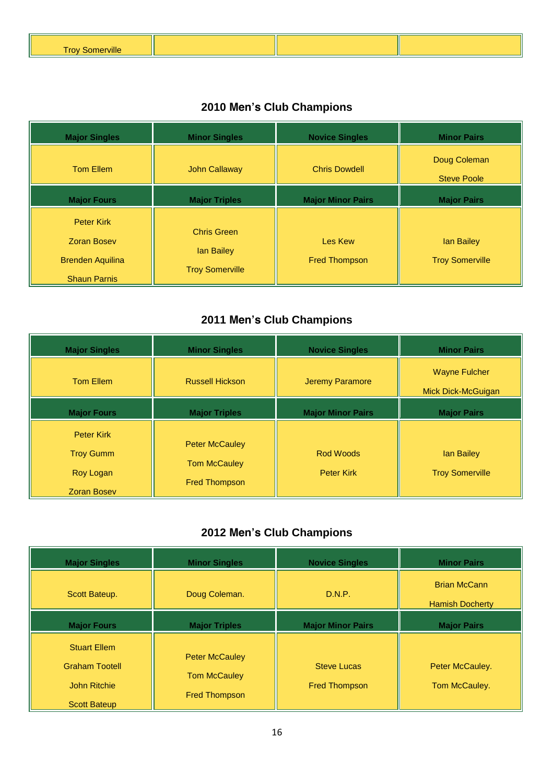| <b><i><u>BACK</u></i></b><br>w<br> |  |  |
|------------------------------------|--|--|

## **2010 Men's Club Champions**

| <b>Major Singles</b>                                                                      | <b>Minor Singles</b>                                       | <b>Novice Singles</b>           | <b>Minor Pairs</b>                   |
|-------------------------------------------------------------------------------------------|------------------------------------------------------------|---------------------------------|--------------------------------------|
| <b>Tom Ellem</b>                                                                          | <b>John Callaway</b>                                       | <b>Chris Dowdell</b>            | Doug Coleman<br><b>Steve Poole</b>   |
| <b>Major Fours</b>                                                                        | <b>Major Triples</b>                                       | <b>Major Minor Pairs</b>        | <b>Major Pairs</b>                   |
| <b>Peter Kirk</b><br><b>Zoran Bosev</b><br><b>Brenden Aquilina</b><br><b>Shaun Parnis</b> | <b>Chris Green</b><br>lan Bailey<br><b>Troy Somerville</b> | Les Kew<br><b>Fred Thompson</b> | lan Bailey<br><b>Troy Somerville</b> |

### **2011 Men's Club Champions**

| <b>Major Singles</b>                                                     | <b>Minor Singles</b>                                                 | <b>Novice Singles</b>          | <b>Minor Pairs</b>                         |
|--------------------------------------------------------------------------|----------------------------------------------------------------------|--------------------------------|--------------------------------------------|
| <b>Tom Ellem</b>                                                         | <b>Russell Hickson</b>                                               | <b>Jeremy Paramore</b>         | <b>Wayne Fulcher</b><br>Mick Dick-McGuigan |
| <b>Major Fours</b>                                                       | <b>Major Triples</b>                                                 | <b>Major Minor Pairs</b>       | <b>Major Pairs</b>                         |
| <b>Peter Kirk</b><br><b>Troy Gumm</b><br>Roy Logan<br><b>Zoran Bosev</b> | <b>Peter McCauley</b><br><b>Tom McCauley</b><br><b>Fred Thompson</b> | Rod Woods<br><b>Peter Kirk</b> | lan Bailey<br><b>Troy Somerville</b>       |

| <b>Major Singles</b>                                                                       | <b>Minor Singles</b>                                                 | <b>Novice Singles</b>                      | <b>Minor Pairs</b>                            |
|--------------------------------------------------------------------------------------------|----------------------------------------------------------------------|--------------------------------------------|-----------------------------------------------|
| Scott Bateup.                                                                              | Doug Coleman.                                                        | D.N.P.                                     | <b>Brian McCann</b><br><b>Hamish Docherty</b> |
| <b>Major Fours</b>                                                                         | <b>Major Triples</b>                                                 | <b>Major Minor Pairs</b>                   | <b>Major Pairs</b>                            |
| <b>Stuart Ellem</b><br><b>Graham Tootell</b><br><b>John Ritchie</b><br><b>Scott Bateup</b> | <b>Peter McCauley</b><br><b>Tom McCauley</b><br><b>Fred Thompson</b> | <b>Steve Lucas</b><br><b>Fred Thompson</b> | Peter McCauley.<br>Tom McCauley.              |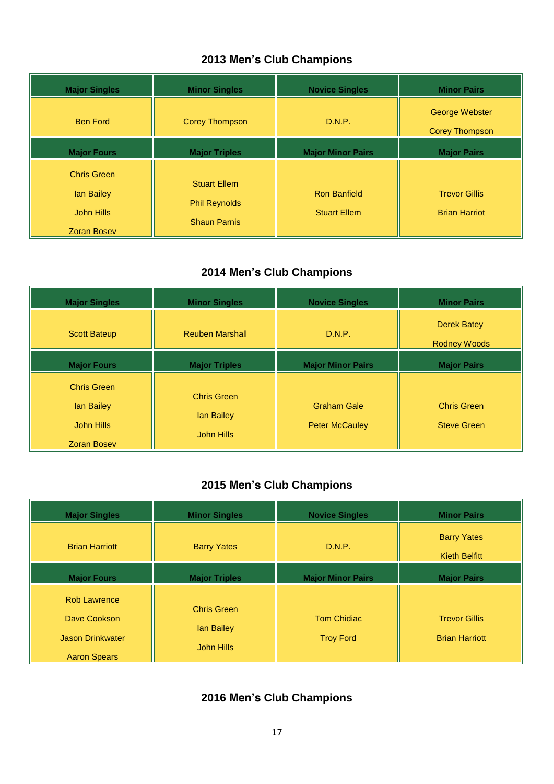| <b>Major Singles</b>                                                 | <b>Minor Singles</b>                                               | <b>Novice Singles</b>                      | <b>Minor Pairs</b>                           |
|----------------------------------------------------------------------|--------------------------------------------------------------------|--------------------------------------------|----------------------------------------------|
| <b>Ben Ford</b>                                                      | <b>Corey Thompson</b>                                              | D.N.P.                                     | George Webster<br><b>Corey Thompson</b>      |
| <b>Major Fours</b>                                                   | <b>Major Triples</b>                                               | <b>Major Minor Pairs</b>                   | <b>Major Pairs</b>                           |
| <b>Chris Green</b><br>lan Bailey<br>John Hills<br><b>Zoran Bosev</b> | <b>Stuart Ellem</b><br><b>Phil Reynolds</b><br><b>Shaun Parnis</b> | <b>Ron Banfield</b><br><b>Stuart Ellem</b> | <b>Trevor Gillis</b><br><b>Brian Harriot</b> |

### **2014 Men's Club Champions**

| <b>Major Singles</b>                                                 | <b>Minor Singles</b>                           | <b>Novice Singles</b>                       | <b>Minor Pairs</b>                       |
|----------------------------------------------------------------------|------------------------------------------------|---------------------------------------------|------------------------------------------|
| <b>Scott Bateup</b>                                                  | <b>Reuben Marshall</b>                         | D.N.P.                                      | Derek Batey<br><b>Rodney Woods</b>       |
| <b>Major Fours</b>                                                   | <b>Major Triples</b>                           | <b>Major Minor Pairs</b>                    | <b>Major Pairs</b>                       |
| <b>Chris Green</b><br>lan Bailey<br>John Hills<br><b>Zoran Bosev</b> | <b>Chris Green</b><br>lan Bailey<br>John Hills | <b>Graham Gale</b><br><b>Peter McCauley</b> | <b>Chris Green</b><br><b>Steve Green</b> |

### **2015 Men's Club Champions**

| <b>Major Singles</b>                                                                  | <b>Minor Singles</b>                           | <b>Novice Singles</b>                  | <b>Minor Pairs</b>                            |
|---------------------------------------------------------------------------------------|------------------------------------------------|----------------------------------------|-----------------------------------------------|
| <b>Brian Harriott</b>                                                                 | <b>Barry Yates</b>                             | D.N.P.                                 | <b>Barry Yates</b><br><b>Kieth Belfitt</b>    |
| <b>Major Fours</b>                                                                    | <b>Major Triples</b>                           | <b>Major Minor Pairs</b>               | <b>Major Pairs</b>                            |
| <b>Rob Lawrence</b><br>Dave Cookson<br><b>Jason Drinkwater</b><br><b>Aaron Spears</b> | <b>Chris Green</b><br>lan Bailey<br>John Hills | <b>Tom Chidiac</b><br><b>Troy Ford</b> | <b>Trevor Gillis</b><br><b>Brian Harriott</b> |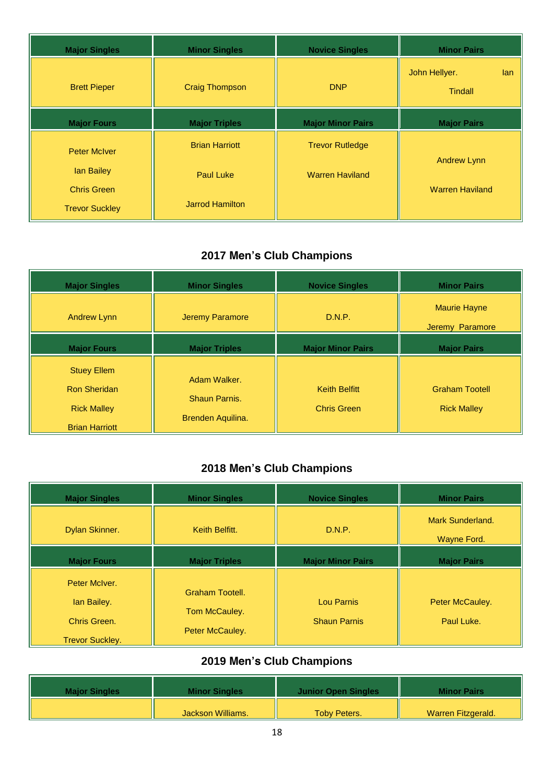| <b>Major Singles</b>  | <b>Minor Singles</b>   | <b>Novice Singles</b>    | <b>Minor Pairs</b>                     |
|-----------------------|------------------------|--------------------------|----------------------------------------|
| <b>Brett Pieper</b>   | <b>Craig Thompson</b>  | <b>DNP</b>               | John Hellyer.<br>lan<br><b>Tindall</b> |
| <b>Major Fours</b>    | <b>Major Triples</b>   | <b>Major Minor Pairs</b> | <b>Major Pairs</b>                     |
| <b>Peter McIver</b>   | <b>Brian Harriott</b>  | <b>Trevor Rutledge</b>   |                                        |
| lan Bailey            | <b>Paul Luke</b>       | <b>Warren Haviland</b>   | <b>Andrew Lynn</b>                     |
| <b>Chris Green</b>    |                        |                          | <b>Warren Haviland</b>                 |
| <b>Trevor Suckley</b> | <b>Jarrod Hamilton</b> |                          |                                        |

| <b>Major Singles</b>                                                                     | <b>Minor Singles</b>                               | <b>Novice Singles</b>                      | <b>Minor Pairs</b>                          |
|------------------------------------------------------------------------------------------|----------------------------------------------------|--------------------------------------------|---------------------------------------------|
| <b>Andrew Lynn</b>                                                                       | <b>Jeremy Paramore</b>                             | D.N.P.                                     | <b>Maurie Hayne</b><br>Jeremy Paramore      |
| <b>Major Fours</b>                                                                       | <b>Major Triples</b>                               | <b>Major Minor Pairs</b>                   | <b>Major Pairs</b>                          |
| <b>Stuey Ellem</b><br><b>Ron Sheridan</b><br><b>Rick Malley</b><br><b>Brian Harriott</b> | Adam Walker.<br>Shaun Parnis.<br>Brenden Aquilina. | <b>Keith Belfitt</b><br><b>Chris Green</b> | <b>Graham Tootell</b><br><b>Rick Malley</b> |

# **2018 Men's Club Champions**

| <b>Major Singles</b>                                                   | <b>Minor Singles</b>                                | <b>Novice Singles</b>             | <b>Minor Pairs</b>              |
|------------------------------------------------------------------------|-----------------------------------------------------|-----------------------------------|---------------------------------|
| Dylan Skinner.                                                         | Keith Belfitt.                                      | D.N.P.                            | Mark Sunderland.<br>Wayne Ford. |
| <b>Major Fours</b>                                                     | <b>Major Triples</b>                                | <b>Major Minor Pairs</b>          | <b>Major Pairs</b>              |
| Peter McIver.<br>lan Bailey.<br>Chris Green.<br><b>Trevor Suckley.</b> | Graham Tootell.<br>Tom McCauley.<br>Peter McCauley. | Lou Parnis<br><b>Shaun Parnis</b> | Peter McCauley.<br>Paul Luke.   |

| <b>Major Singles</b> | <b>Minor Singles</b> | <b>Junior Open Singles</b> | <b>Minor Pairs</b> |
|----------------------|----------------------|----------------------------|--------------------|
|                      | Jackson Williams.    | <b>Toby Peters.</b>        | Warren Fitzgerald. |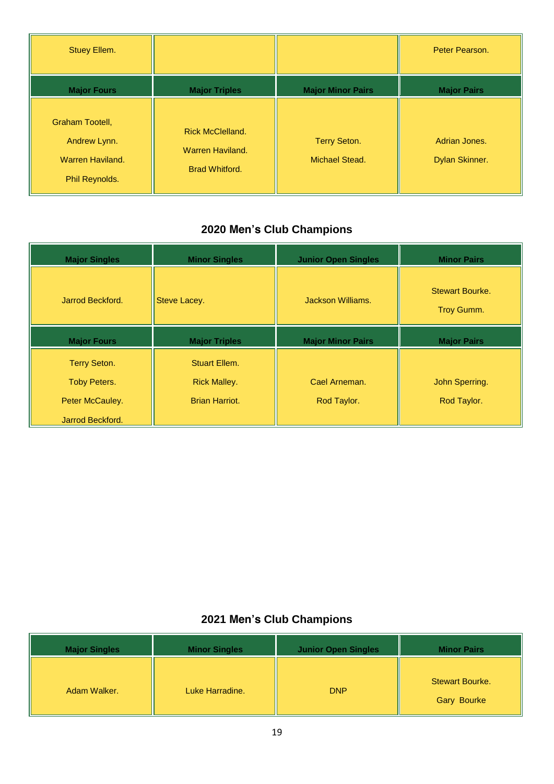| Stuey Ellem.                                                                 |                                                                      |                                              | Peter Pearson.                  |
|------------------------------------------------------------------------------|----------------------------------------------------------------------|----------------------------------------------|---------------------------------|
| <b>Major Fours</b>                                                           | <b>Major Triples</b>                                                 | <b>Major Minor Pairs</b>                     | <b>Major Pairs</b>              |
| Graham Tootell,<br>Andrew Lynn.<br><b>Warren Haviland.</b><br>Phil Reynolds. | <b>Rick McClelland.</b><br>Warren Haviland.<br><b>Brad Whitford.</b> | <b>Terry Seton.</b><br><b>Michael Stead.</b> | Adrian Jones.<br>Dylan Skinner. |

| <b>Major Singles</b> | <b>Minor Singles</b>  | <b>Junior Open Singles</b> | <b>Minor Pairs</b>                   |
|----------------------|-----------------------|----------------------------|--------------------------------------|
| Jarrod Beckford.     | Steve Lacey.          | Jackson Williams.          | <b>Stewart Bourke.</b><br>Troy Gumm. |
| <b>Major Fours</b>   | <b>Major Triples</b>  | <b>Major Minor Pairs</b>   | <b>Major Pairs</b>                   |
| <b>Terry Seton.</b>  | Stuart Ellem.         |                            |                                      |
| <b>Toby Peters.</b>  | <b>Rick Malley.</b>   | Cael Arneman.              | John Sperring.                       |
| Peter McCauley.      | <b>Brian Harriot.</b> | Rod Taylor.                | Rod Taylor.                          |
| Jarrod Beckford.     |                       |                            |                                      |

| <b>Major Singles</b> | <b>Minor Singles</b> | <b>Junior Open Singles</b> | <b>Minor Pairs</b>                           |
|----------------------|----------------------|----------------------------|----------------------------------------------|
| Adam Walker.         | Luke Harradine.      | <b>DNP</b>                 | <b>Stewart Bourke.</b><br><b>Gary Bourke</b> |